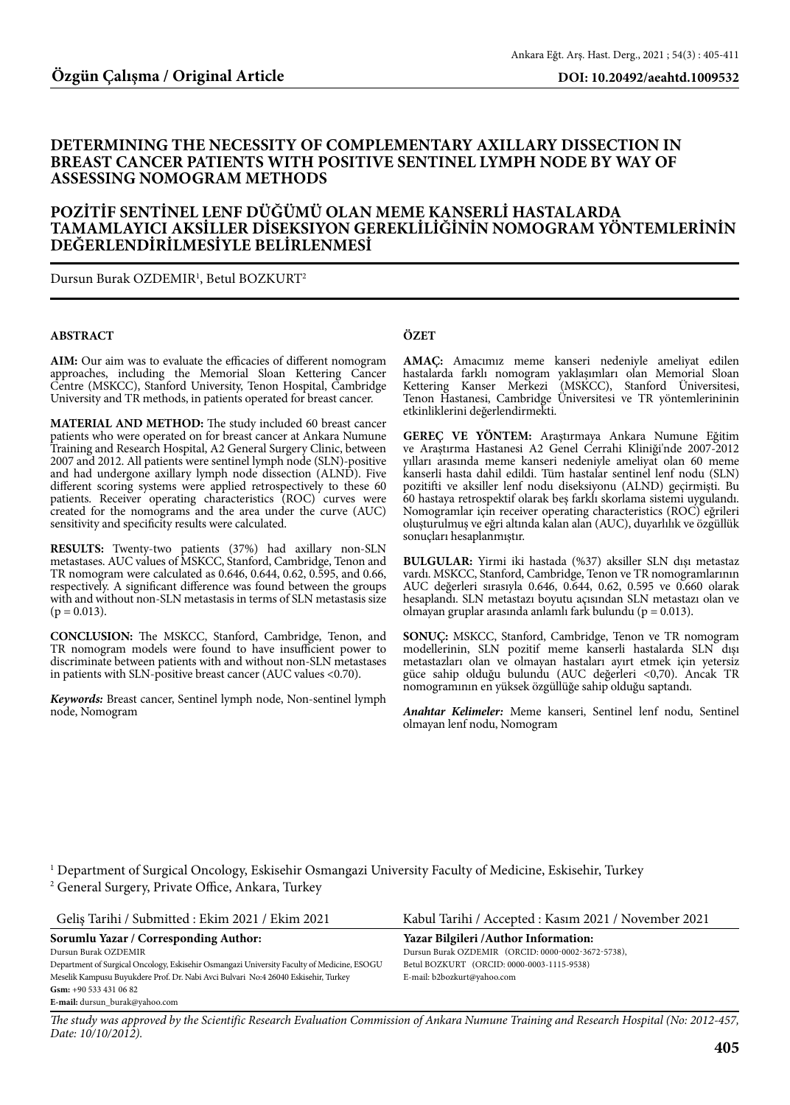## **DETERMINING THE NECESSITY OF COMPLEMENTARY AXILLARY DISSECTION IN BREAST CANCER PATIENTS WITH POSITIVE SENTINEL LYMPH NODE BY WAY OF ASSESSING NOMOGRAM METHODS**

## **POZİTİF SENTİNEL LENF DÜĞÜMÜ OLAN MEME KANSERLİ HASTALARDA TAMAMLAYICI AKSİLLER DİSEKSIYON GEREKLİLİĞİNİN NOMOGRAM YÖNTEMLERİNİN DEĞERLENDİRİLMESİYLE BELİRLENMESİ**

Dursun Burak OZDEMIR1 , Betul BOZKURT2

#### **ABSTRACT**

**AIM:** Our aim was to evaluate the efficacies of different nomogram approaches, including the Memorial Sloan Kettering Cancer Centre (MSKCC), Stanford University, Tenon Hospital, Cambridge University and TR methods, in patients operated for breast cancer.

**MATERIAL AND METHOD:** The study included 60 breast cancer patients who were operated on for breast cancer at Ankara Numune Training and Research Hospital, A2 General Surgery Clinic, between 2007 and 2012. All patients were sentinel lymph node (SLN)-positive and had undergone axillary lymph node dissection (ALND). Five different scoring systems were applied retrospectively to these 60 patients. Receiver operating characteristics (ROC) curves were created for the nomograms and the area under the curve (AUC) sensitivity and specificity results were calculated.

**RESULTS:** Twenty-two patients (37%) had axillary non-SLN metastases. AUC values of MSKCC, Stanford, Cambridge, Tenon and TR nomogram were calculated as 0.646, 0.644, 0.62, 0.595, and 0.66, respectively. A significant difference was found between the groups with and without non-SLN metastasis in terms of SLN metastasis size  $(p = 0.013)$ .

**CONCLUSION:** The MSKCC, Stanford, Cambridge, Tenon, and TR nomogram models were found to have insufficient power to discriminate between patients with and without non-SLN metastases in patients with SLN-positive breast cancer (AUC values <0.70).

*Keywords:* Breast cancer, Sentinel lymph node, Non-sentinel lymph node, Nomogram

### **ÖZET**

**AMAÇ:** Amacımız meme kanseri nedeniyle ameliyat edilen hastalarda farklı nomogram yaklaşımları olan Memorial Sloan Kettering Kanser Merkezi (MSKCC), Stanford Üniversitesi, Tenon Hastanesi, Cambridge Üniversitesi ve TR yöntemlerininin etkinliklerini değerlendirmekti.

**GEREÇ VE YÖNTEM:** Araştırmaya Ankara Numune Eğitim ve Araştırma Hastanesi A2 Genel Cerrahi Kliniği'nde 2007-2012 yılları arasında meme kanseri nedeniyle ameliyat olan 60 meme kanserli hasta dahil edildi. Tüm hastalar sentinel lenf nodu (SLN) pozitifti ve aksiller lenf nodu diseksiyonu (ALND) geçirmişti. Bu 60 hastaya retrospektif olarak beş farklı skorlama sistemi uygulandı. Nomogramlar için receiver operating characteristics (ROC) eğrileri oluşturulmuş ve eğri altında kalan alan (AUC), duyarlılık ve özgüllük sonuçları hesaplanmıştır.

**BULGULAR:** Yirmi iki hastada (%37) aksiller SLN dışı metastaz vardı. MSKCC, Stanford, Cambridge, Tenon ve TR nomogramlarının AUC değerleri sırasıyla 0.646, 0.644, 0.62, 0.595 ve 0.660 olarak hesaplandı. SLN metastazı boyutu açısından SLN metastazı olan ve olmayan gruplar arasında anlamlı fark bulundu (p = 0.013).

**SONUÇ:** MSKCC, Stanford, Cambridge, Tenon ve TR nomogram modellerinin, SLN pozitif meme kanserli hastalarda SLN dışı metastazları olan ve olmayan hastaları ayırt etmek için yetersiz güce sahip olduğu bulundu (AUC değerleri <0,70). Ancak TR nomogramının en yüksek özgüllüğe sahip olduğu saptandı.

*Anahtar Kelimeler:* Meme kanseri, Sentinel lenf nodu, Sentinel olmayan lenf nodu, Nomogram

1 Department of Surgical Oncology, Eskisehir Osmangazi University Faculty of Medicine, Eskisehir, Turkey 2 General Surgery, Private Office, Ankara, Turkey

| Kabul Tarihi / Accepted: Kasım 2021 / November 2021 |
|-----------------------------------------------------|
| Yazar Bilgileri / Author Information:               |
| Dursun Burak OZDEMIR (ORCID: 0000-0002-3672-5738),  |
| Betul BOZKURT (ORCID: 0000-0003-1115-9538)          |
| E-mail: b2bozkurt@yahoo.com                         |
|                                                     |
|                                                     |
|                                                     |

*The study was approved by the Scientific Research Evaluation Commission of Ankara Numune Training and Research Hospital (No: 2012-457, Date: 10/10/2012).*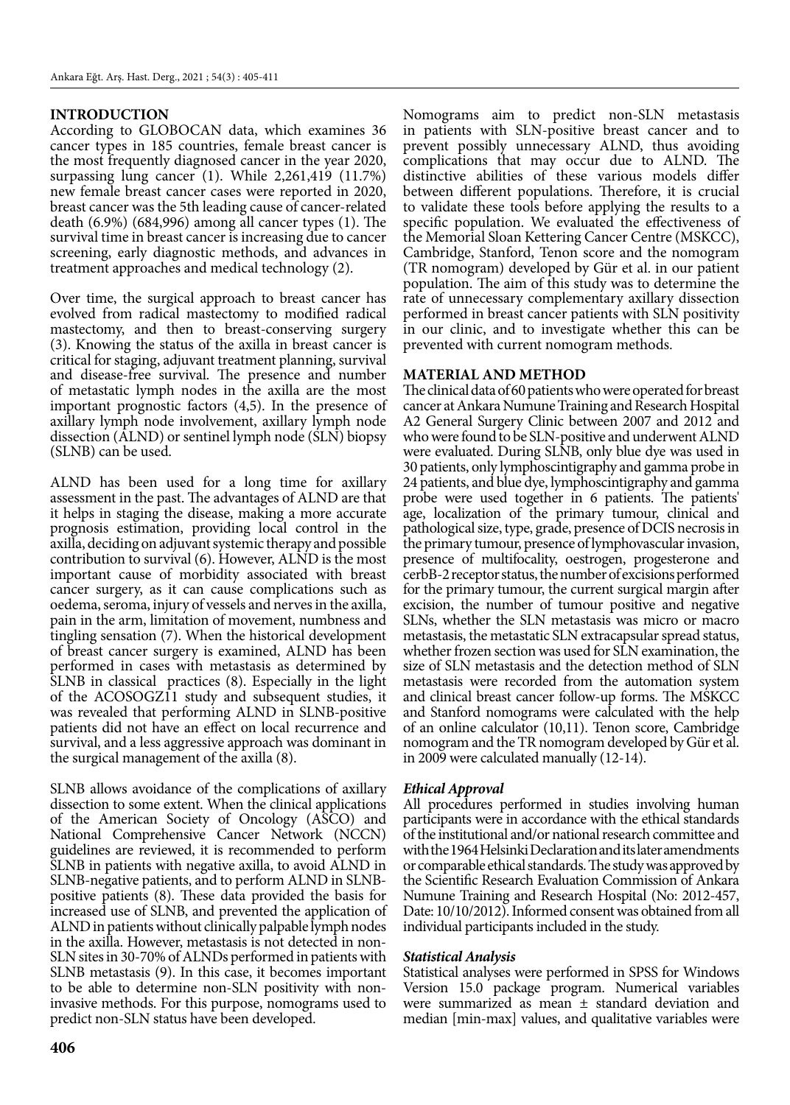## **INTRODUCTION**

According to GLOBOCAN data, which examines 36 cancer types in 185 countries, female breast cancer is the most frequently diagnosed cancer in the year 2020, surpassing lung cancer (1). While 2,261,419 (11.7%) new female breast cancer cases were reported in 2020, breast cancer was the 5th leading cause of cancer-related death (6.9%) (684,996) among all cancer types (1). The survival time in breast cancer is increasing due to cancer screening, early diagnostic methods, and advances in treatment approaches and medical technology (2).

Over time, the surgical approach to breast cancer has evolved from radical mastectomy to modified radical mastectomy, and then to breast-conserving surgery (3). Knowing the status of the axilla in breast cancer is critical for staging, adjuvant treatment planning, survival and disease-free survival. The presence and number of metastatic lymph nodes in the axilla are the most important prognostic factors (4,5). In the presence of axillary lymph node involvement, axillary lymph node dissection (ALND) or sentinel lymph node (SLN) biopsy (SLNB) can be used.

ALND has been used for a long time for axillary assessment in the past. The advantages of ALND are that it helps in staging the disease, making a more accurate prognosis estimation, providing local control in the axilla, deciding on adjuvant systemic therapy and possible contribution to survival (6). However, ALND is the most important cause of morbidity associated with breast cancer surgery, as it can cause complications such as oedema, seroma, injury of vessels and nerves in the axilla, pain in the arm, limitation of movement, numbness and tingling sensation (7). When the historical development of breast cancer surgery is examined, ALND has been performed in cases with metastasis as determined by SLNB in classical practices (8). Especially in the light of the ACOSOGZ11 study and subsequent studies, it was revealed that performing ALND in SLNB-positive patients did not have an effect on local recurrence and survival, and a less aggressive approach was dominant in the surgical management of the axilla (8).

SLNB allows avoidance of the complications of axillary dissection to some extent. When the clinical applications of the American Society of Oncology (ASCO) and National Comprehensive Cancer Network (NCCN) guidelines are reviewed, it is recommended to perform SLNB in patients with negative axilla, to avoid ALND in SLNB-negative patients, and to perform ALND in SLNBpositive patients (8). These data provided the basis for increased use of SLNB, and prevented the application of ALND in patients without clinically palpable lymph nodes in the axilla. However, metastasis is not detected in non-SLN sites in 30-70% of ALNDs performed in patients with SLNB metastasis (9). In this case, it becomes important to be able to determine non-SLN positivity with noninvasive methods. For this purpose, nomograms used to predict non-SLN status have been developed.

Nomograms aim to predict non-SLN metastasis in patients with SLN-positive breast cancer and to prevent possibly unnecessary ALND, thus avoiding complications that may occur due to ALND. The distinctive abilities of these various models differ between different populations. Therefore, it is crucial to validate these tools before applying the results to a specific population. We evaluated the effectiveness of the Memorial Sloan Kettering Cancer Centre (MSKCC), Cambridge, Stanford, Tenon score and the nomogram (TR nomogram) developed by Gür et al. in our patient population. The aim of this study was to determine the rate of unnecessary complementary axillary dissection performed in breast cancer patients with SLN positivity in our clinic, and to investigate whether this can be prevented with current nomogram methods.

### **MATERIAL AND METHOD**

The clinical data of 60 patients who were operated for breast cancer at Ankara Numune Training and Research Hospital A2 General Surgery Clinic between 2007 and 2012 and who were found to be SLN-positive and underwent ALND were evaluated. During SLNB, only blue dye was used in 30 patients, only lymphoscintigraphy and gamma probe in 24 patients, and blue dye, lymphoscintigraphy and gamma probe were used together in 6 patients. The patients' age, localization of the primary tumour, clinical and pathological size, type, grade, presence of DCIS necrosis in the primary tumour, presence of lymphovascular invasion, presence of multifocality, oestrogen, progesterone and cerbB-2 receptor status, the number of excisions performed for the primary tumour, the current surgical margin after excision, the number of tumour positive and negative SLNs, whether the SLN metastasis was micro or macro metastasis, the metastatic SLN extracapsular spread status, whether frozen section was used for SLN examination, the size of SLN metastasis and the detection method of SLN metastasis were recorded from the automation system and clinical breast cancer follow-up forms. The MSKCC and Stanford nomograms were calculated with the help of an online calculator (10,11). Tenon score, Cambridge nomogram and the TR nomogram developed by Gür et al. in 2009 were calculated manually (12-14).

## *Ethical Approval*

All procedures performed in studies involving human participants were in accordance with the ethical standards of the institutional and/or national research committee and with the 1964 Helsinki Declaration and its later amendments or comparable ethical standards. The study was approved by the Scientific Research Evaluation Commission of Ankara Numune Training and Research Hospital (No: 2012-457, Date: 10/10/2012). Informed consent was obtained from all individual participants included in the study.

### *Statistical Analysis*

Statistical analyses were performed in SPSS for Windows Version 15.0 package program. Numerical variables were summarized as mean ± standard deviation and median [min-max] values, and qualitative variables were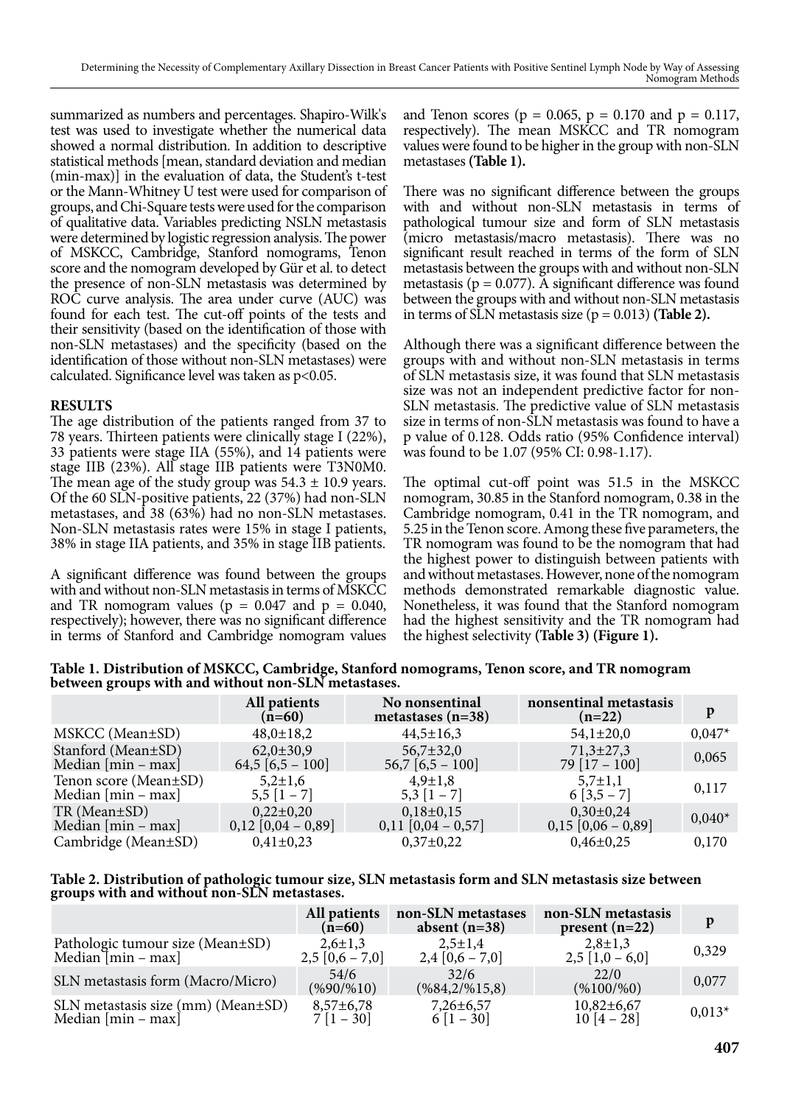summarized as numbers and percentages. Shapiro-Wilk's test was used to investigate whether the numerical data showed a normal distribution. In addition to descriptive statistical methods [mean, standard deviation and median (min-max)] in the evaluation of data, the Student's t-test or the Mann-Whitney U test were used for comparison of groups, and Chi-Square tests were used for the comparison of qualitative data. Variables predicting NSLN metastasis were determined by logistic regression analysis. The power of MSKCC, Cambridge, Stanford nomograms, Tenon score and the nomogram developed by Gür et al. to detect the presence of non-SLN metastasis was determined by ROC curve analysis. The area under curve (AUC) was found for each test. The cut-off points of the tests and their sensitivity (based on the identification of those with non-SLN metastases) and the specificity (based on the identification of those without non-SLN metastases) were calculated. Significance level was taken as p<0.05.

# **RESULTS**

The age distribution of the patients ranged from 37 to 78 years. Thirteen patients were clinically stage I (22%), 33 patients were stage IIA (55%), and 14 patients were stage IIB (23%). All stage IIB patients were T3N0M0. The mean age of the study group was  $54.3 \pm 10.9$  years. Of the 60 SLN-positive patients, 22 (37%) had non-SLN metastases, and 38 (63%) had no non-SLN metastases. Non-SLN metastasis rates were 15% in stage I patients, 38% in stage IIA patients, and 35% in stage IIB patients.

A significant difference was found between the groups with and without non-SLN metastasis in terms of MSKCC and TR nomogram values ( $p = 0.047$  and  $p = 0.040$ , respectively); however, there was no significant difference in terms of Stanford and Cambridge nomogram values and Tenon scores ( $p = 0.065$ ,  $p = 0.170$  and  $p = 0.117$ , respectively). The mean MSKCC and TR nomogram values were found to be higher in the group with non-SLN metastases **(Table 1).**

There was no significant difference between the groups with and without non-SLN metastasis in terms of pathological tumour size and form of SLN metastasis (micro metastasis/macro metastasis). There was no significant result reached in terms of the form of SLN metastasis between the groups with and without non-SLN metastasis ( $p = 0.077$ ). A significant difference was found between the groups with and without non-SLN metastasis in terms of SLN metastasis size  $(p = 0.013)$  (Table 2).

Although there was a significant difference between the groups with and without non-SLN metastasis in terms of SLN metastasis size, it was found that SLN metastasis size was not an independent predictive factor for non-SLN metastasis. The predictive value of SLN metastasis size in terms of non-SLN metastasis was found to have a p value of 0.128. Odds ratio (95% Confidence interval) was found to be 1.07 (95% CI: 0.98-1.17).

The optimal cut-off point was 51.5 in the MSKCC nomogram, 30.85 in the Stanford nomogram, 0.38 in the Cambridge nomogram, 0.41 in the TR nomogram, and 5.25 in the Tenon score. Among these five parameters, the TR nomogram was found to be the nomogram that had the highest power to distinguish between patients with and without metastases. However, none of the nomogram methods demonstrated remarkable diagnostic value. Nonetheless, it was found that the Stanford nomogram had the highest sensitivity and the TR nomogram had the highest selectivity **(Table 3) (Figure 1).**

**Table 1. Distribution of MSKCC, Cambridge, Stanford nomograms, Tenon score, and TR nomogram between groups with and without non-SLN metastases.**

|                       | All patients<br>$(n=60)$ | No nonsentinal<br>metastases $(n=38)$ | nonsentinal metastasis<br>$(n=22)$ | p        |
|-----------------------|--------------------------|---------------------------------------|------------------------------------|----------|
| MSKCC (Mean±SD)       | $48,0 \pm 18,2$          | $44,5 \pm 16,3$                       | $54,1 \pm 20,0$                    | $0,047*$ |
| Stanford (Mean±SD)    | $62,0 \pm 30,9$          | $56,7 \pm 32,0$                       | $71,3 \pm 27,3$                    | 0,065    |
| Median $[min - max]$  | $64,5 [6,5 - 100]$       | $56,7$ [6,5 – 100]                    | $79[17-100]$                       |          |
| Tenon score (Mean±SD) | $5.2 \pm 1.6$            | $4.9 \pm 1.8$                         | $5,7\pm1,1$                        | 0,117    |
| Median $[min - max]$  | $5,5$ $[1 - 7]$          | $5,3$ [1 – 7]                         | $6[3,5-7]$                         |          |
| $TR$ (Mean $\pm SD$ ) | $0,22\pm0,20$            | $0,18\pm0,15$                         | $0,30\pm0,24$                      | $0,040*$ |
| Median $[min - max]$  | $0,12$ [0,04 – 0,89]     | $0,11$ [0,04 – 0,57]                  | $0,15$ [0,06 – 0,89]               |          |
| Cambridge (Mean±SD)   | $0,41\pm0,23$            | $0,37\pm0,22$                         | $0,46\pm0,25$                      | 0,170    |

|                                              | Table 2. Distribution of pathologic tumour size, SLN metastasis form and SLN metastasis size between |
|----------------------------------------------|------------------------------------------------------------------------------------------------------|
| groups with and without̄ non-SLÑ metastases. |                                                                                                      |

|                                    | All patients<br>$(n=60)$      | non-SLN metastases<br>absent $(n=38)$ | non-SLN metastasis<br>present $(n=22)$ | D        |
|------------------------------------|-------------------------------|---------------------------------------|----------------------------------------|----------|
| Pathologic tumour size (Mean±SD)   | $2,6 \pm 1,3$                 | $2,5 \pm 1,4$                         | $2,8 \pm 1,3$                          | 0,329    |
| Median $\text{min}$ – max          | $2,5 [0,6 - 7,0]$             | $2,4[0,6-7,0]$                        | $2,5$ [1,0 – 6,0]                      |          |
| SLN metastasis form (Macro/Micro)  | 54/6<br>$(\frac{9690}{\%10})$ | 32/6<br>$(\frac{684,2}{\%15,8})$      | 22/0<br>$(\frac{\%100}{\%0})$          | 0,077    |
| SLN metastasis size (mm) (Mean±SD) | $8,57 \pm 6,78$               | $7,26 \pm 6,57$                       | $10,82\pm 6,67$                        | $0,013*$ |
| Median $[min - max]$               | $7[1 - 30]$                   | $6[1-30]$                             | $10[4-28]$                             |          |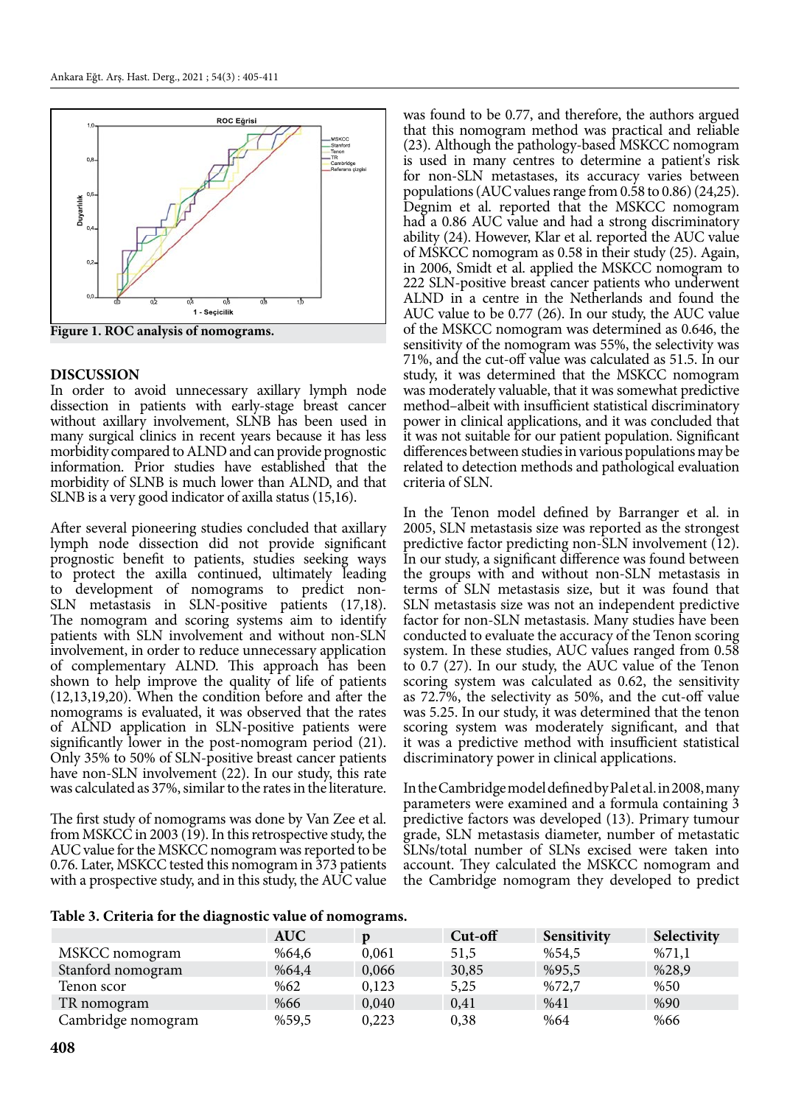

**Figure 1. ROC analysis of nomograms.**

### **DISCUSSION**

In order to avoid unnecessary axillary lymph node dissection in patients with early-stage breast cancer without axillary involvement, SLNB has been used in many surgical clinics in recent years because it has less morbidity compared to ALND and can provide prognostic information. Prior studies have established that the morbidity of SLNB is much lower than ALND, and that SLNB is a very good indicator of axilla status (15,16).

After several pioneering studies concluded that axillary lymph node dissection did not provide significant prognostic benefit to patients, studies seeking ways to protect the axilla continued, ultimately leading to development of nomograms to predict non-SLN metastasis in SLN-positive patients (17,18). The nomogram and scoring systems aim to identify patients with SLN involvement and without non-SLN involvement, in order to reduce unnecessary application of complementary ALND. This approach has been shown to help improve the quality of life of patients (12,13,19,20). When the condition before and after the nomograms is evaluated, it was observed that the rates of ALND application in SLN-positive patients were significantly lower in the post-nomogram period (21). Only 35% to 50% of SLN-positive breast cancer patients have non-SLN involvement (22). In our study, this rate was calculated as 37%, similar to the rates in the literature.

The first study of nomograms was done by Van Zee et al. from MSKCC in 2003 (19). In this retrospective study, the AUC value for the MSKCC nomogram was reported to be 0.76. Later, MSKCC tested this nomogram in 373 patients with a prospective study, and in this study, the AUC value

was found to be 0.77, and therefore, the authors argued that this nomogram method was practical and reliable (23). Although the pathology-based MSKCC nomogram is used in many centres to determine a patient's risk for non-SLN metastases, its accuracy varies between populations (AUC values range from 0.58 to 0.86) (24,25). Degnim et al. reported that the MSKCC nomogram had a 0.86 AUC value and had a strong discriminatory ability (24). However, Klar et al. reported the AUC value of MSKCC nomogram as 0.58 in their study (25). Again, in 2006, Smidt et al. applied the MSKCC nomogram to 222 SLN-positive breast cancer patients who underwent ALND in a centre in the Netherlands and found the AUC value to be 0.77 (26). In our study, the AUC value of the MSKCC nomogram was determined as 0.646, the sensitivity of the nomogram was 55%, the selectivity was 71%, and the cut-off value was calculated as 51.5. In our study, it was determined that the MSKCC nomogram was moderately valuable, that it was somewhat predictive method–albeit with insufficient statistical discriminatory power in clinical applications, and it was concluded that it was not suitable for our patient population. Significant differences between studies in various populations may be related to detection methods and pathological evaluation criteria of SLN.

In the Tenon model defined by Barranger et al. in 2005, SLN metastasis size was reported as the strongest predictive factor predicting non-SLN involvement (12). In our study, a significant difference was found between the groups with and without non-SLN metastasis in terms of SLN metastasis size, but it was found that SLN metastasis size was not an independent predictive factor for non-SLN metastasis. Many studies have been conducted to evaluate the accuracy of the Tenon scoring system. In these studies, AUC values ranged from 0.58 to 0.7 (27). In our study, the AUC value of the Tenon scoring system was calculated as 0.62, the sensitivity as 72.7%, the selectivity as 50%, and the cut-off value was 5.25. In our study, it was determined that the tenon scoring system was moderately significant, and that it was a predictive method with insufficient statistical discriminatory power in clinical applications.

In the Cambridge model defined by Pal et al. in 2008, many parameters were examined and a formula containing 3 predictive factors was developed (13). Primary tumour grade, SLN metastasis diameter, number of metastatic SLNs/total number of SLNs excised were taken into account. They calculated the MSKCC nomogram and the Cambridge nomogram they developed to predict

#### **Table 3. Criteria for the diagnostic value of nomograms.**

|                    | <b>AUC</b> |       | $Cut$ -off | Sensitivity | Selectivity |
|--------------------|------------|-------|------------|-------------|-------------|
| MSKCC nomogram     | %64.6      | 0,061 | 51,5       | %54,5       | %71,1       |
| Stanford nomogram  | %64.4      | 0,066 | 30,85      | %95,5       | %28,9       |
| Tenon scor         | %62        | 0,123 | 5,25       | %72,7       | %50         |
| TR nomogram        | %66        | 0,040 | 0,41       | %41         | %90         |
| Cambridge nomogram | %59,5      | 0,223 | 0.38       | %64         | %66         |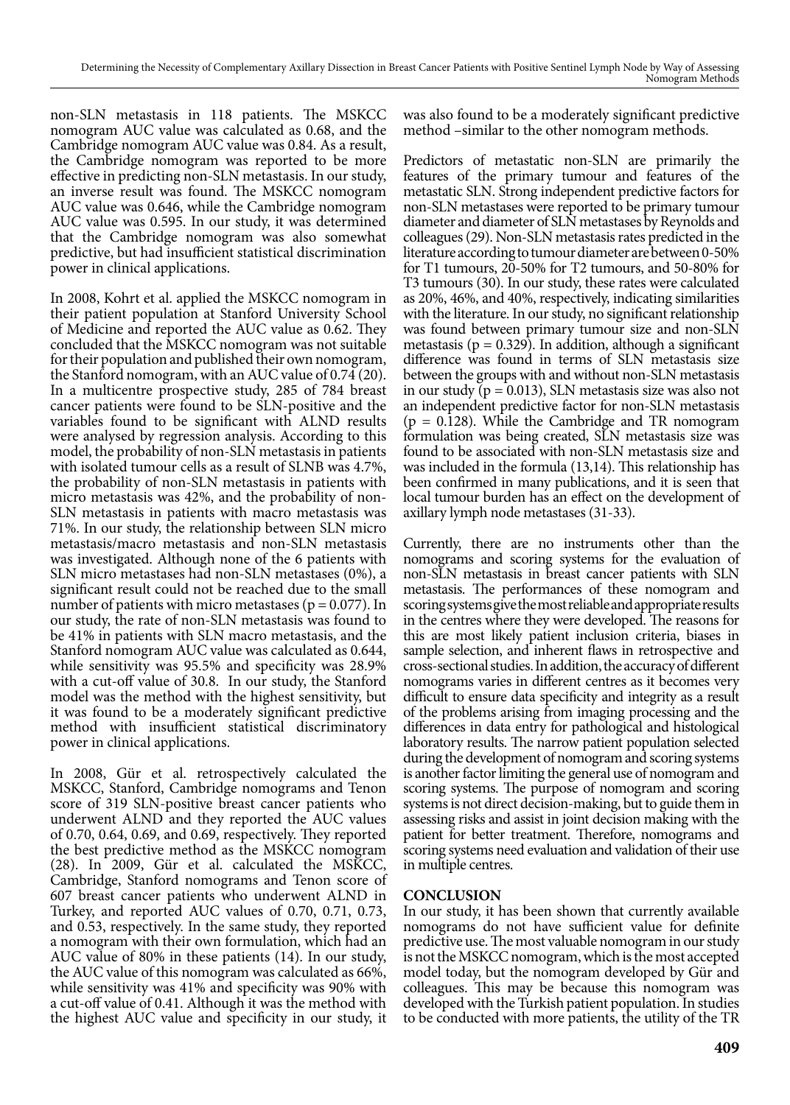non-SLN metastasis in 118 patients. The MSKCC nomogram AUC value was calculated as 0.68, and the Cambridge nomogram AUC value was 0.84. As a result, the Cambridge nomogram was reported to be more effective in predicting non-SLN metastasis. In our study, an inverse result was found. The MSKCC nomogram AUC value was 0.646, while the Cambridge nomogram AUC value was 0.595. In our study, it was determined that the Cambridge nomogram was also somewhat predictive, but had insufficient statistical discrimination power in clinical applications.

In 2008, Kohrt et al. applied the MSKCC nomogram in their patient population at Stanford University School of Medicine and reported the AUC value as 0.62. They concluded that the MSKCC nomogram was not suitable for their population and published their own nomogram, the Stanford nomogram, with an AUC value of 0.74 (20). In a multicentre prospective study, 285 of 784 breast cancer patients were found to be SLN-positive and the variables found to be significant with ALND results were analysed by regression analysis. According to this model, the probability of non-SLN metastasis in patients with isolated tumour cells as a result of SLNB was 4.7%, the probability of non-SLN metastasis in patients with micro metastasis was 42%, and the probability of non-SLN metastasis in patients with macro metastasis was 71%. In our study, the relationship between SLN micro metastasis/macro metastasis and non-SLN metastasis was investigated. Although none of the 6 patients with SLN micro metastases had non-SLN metastases (0%), a significant result could not be reached due to the small number of patients with micro metastases ( $p = 0.077$ ). In our study, the rate of non-SLN metastasis was found to be 41% in patients with SLN macro metastasis, and the Stanford nomogram AUC value was calculated as 0.644, while sensitivity was 95.5% and specificity was 28.9% with a cut-off value of 30.8. In our study, the Stanford model was the method with the highest sensitivity, but it was found to be a moderately significant predictive method with insufficient statistical discriminatory power in clinical applications.

In 2008, Gür et al. retrospectively calculated the MSKCC, Stanford, Cambridge nomograms and Tenon score of 319 SLN-positive breast cancer patients who underwent ALND and they reported the AUC values of 0.70, 0.64, 0.69, and 0.69, respectively. They reported the best predictive method as the MSKCC nomogram (28). In 2009, Gür et al. calculated the MSKCC, Cambridge, Stanford nomograms and Tenon score of 607 breast cancer patients who underwent ALND in Turkey, and reported AUC values of 0.70, 0.71, 0.73, and 0.53, respectively. In the same study, they reported a nomogram with their own formulation, which had an AUC value of 80% in these patients (14). In our study, the AUC value of this nomogram was calculated as 66%, while sensitivity was 41% and specificity was 90% with a cut-off value of 0.41. Although it was the method with the highest AUC value and specificity in our study, it

was also found to be a moderately significant predictive method –similar to the other nomogram methods.

Predictors of metastatic non-SLN are primarily the features of the primary tumour and features of the metastatic SLN. Strong independent predictive factors for non-SLN metastases were reported to be primary tumour diameter and diameter of SLN metastases by Reynolds and colleagues (29). Non-SLN metastasis rates predicted in the literature according to tumour diameter are between 0-50% for T1 tumours, 20-50% for T2 tumours, and 50-80% for T3 tumours (30). In our study, these rates were calculated as 20%, 46%, and 40%, respectively, indicating similarities with the literature. In our study, no significant relationship was found between primary tumour size and non-SLN metastasis ( $p = 0.329$ ). In addition, although a significant difference was found in terms of SLN metastasis size between the groups with and without non-SLN metastasis in our study ( $p = 0.013$ ), SLN metastasis size was also not an independent predictive factor for non-SLN metastasis  $(p = 0.128)$ . While the Cambridge and TR nomogram formulation was being created, SLN metastasis size was found to be associated with non-SLN metastasis size and was included in the formula (13,14). This relationship has been confirmed in many publications, and it is seen that local tumour burden has an effect on the development of axillary lymph node metastases (31-33).

Currently, there are no instruments other than the nomograms and scoring systems for the evaluation of non-SLN metastasis in breast cancer patients with SLN metastasis. The performances of these nomogram and scoring systems give the most reliable and appropriate results in the centres where they were developed. The reasons for this are most likely patient inclusion criteria, biases in sample selection, and inherent flaws in retrospective and cross-sectional studies. In addition, the accuracy of different nomograms varies in different centres as it becomes very difficult to ensure data specificity and integrity as a result of the problems arising from imaging processing and the differences in data entry for pathological and histological laboratory results. The narrow patient population selected during the development of nomogram and scoring systems is another factor limiting the general use of nomogram and scoring systems. The purpose of nomogram and scoring systems is not direct decision-making, but to guide them in assessing risks and assist in joint decision making with the patient for better treatment. Therefore, nomograms and scoring systems need evaluation and validation of their use in multiple centres.

# **CONCLUSION**

In our study, it has been shown that currently available nomograms do not have sufficient value for definite predictive use. The most valuable nomogram in our study is not the MSKCC nomogram, which is the most accepted model today, but the nomogram developed by Gür and colleagues. This may be because this nomogram was developed with the Turkish patient population. In studies to be conducted with more patients, the utility of the TR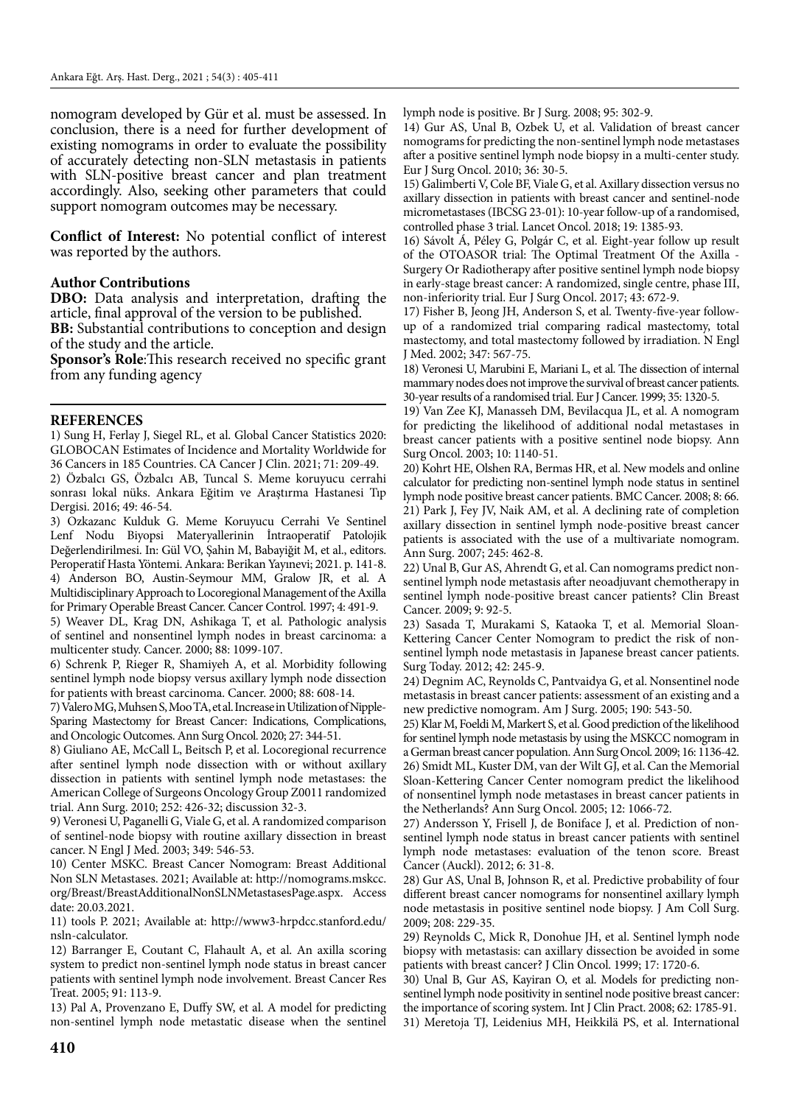nomogram developed by Gür et al. must be assessed. In conclusion, there is a need for further development of existing nomograms in order to evaluate the possibility of accurately detecting non-SLN metastasis in patients with SLN-positive breast cancer and plan treatment accordingly. Also, seeking other parameters that could support nomogram outcomes may be necessary.

**Conflict of Interest:** No potential conflict of interest was reported by the authors.

### **Author Contributions**

**DBO:** Data analysis and interpretation, drafting the article, final approval of the version to be published.

**BB:** Substantial contributions to conception and design of the study and the article.

**Sponsor's Role**:This research received no specific grant from any funding agency

### **REFERENCES**

1) Sung H, Ferlay J, Siegel RL, et al. Global Cancer Statistics 2020: GLOBOCAN Estimates of Incidence and Mortality Worldwide for 36 Cancers in 185 Countries. CA Cancer J Clin. 2021; 71: 209-49.

2) Özbalcı GS, Özbalcı AB, Tuncal S. Meme koruyucu cerrahi sonrası lokal nüks. Ankara Eğitim ve Araştırma Hastanesi Tıp Dergisi. 2016; 49: 46-54.

3) Ozkazanc Kulduk G. Meme Koruyucu Cerrahi Ve Sentinel Lenf Nodu Biyopsi Materyallerinin İntraoperatif Patolojik Değerlendirilmesi. In: Gül VO, Şahin M, Babayiğit M, et al., editors. Peroperatif Hasta Yöntemi. Ankara: Berikan Yayınevi; 2021. p. 141-8. 4) Anderson BO, Austin-Seymour MM, Gralow JR, et al. A Multidisciplinary Approach to Locoregional Management of the Axilla for Primary Operable Breast Cancer. Cancer Control. 1997; 4: 491-9.

5) Weaver DL, Krag DN, Ashikaga T, et al. Pathologic analysis of sentinel and nonsentinel lymph nodes in breast carcinoma: a multicenter study. Cancer. 2000; 88: 1099-107.

6) Schrenk P, Rieger R, Shamiyeh A, et al. Morbidity following sentinel lymph node biopsy versus axillary lymph node dissection for patients with breast carcinoma. Cancer. 2000; 88: 608-14.

7) Valero MG, Muhsen S, Moo TA, et al. Increase in Utilization of Nipple-Sparing Mastectomy for Breast Cancer: Indications, Complications, and Oncologic Outcomes. Ann Surg Oncol. 2020; 27: 344-51.

8) Giuliano AE, McCall L, Beitsch P, et al. Locoregional recurrence after sentinel lymph node dissection with or without axillary dissection in patients with sentinel lymph node metastases: the American College of Surgeons Oncology Group Z0011 randomized trial. Ann Surg. 2010; 252: 426-32; discussion 32-3.

9) Veronesi U, Paganelli G, Viale G, et al. A randomized comparison of sentinel-node biopsy with routine axillary dissection in breast cancer. N Engl J Med. 2003; 349: 546-53.

10) Center MSKC. Breast Cancer Nomogram: Breast Additional Non SLN Metastases. 2021; Available at: http://nomograms.mskcc. org/Breast/BreastAdditionalNonSLNMetastasesPage.aspx. Access date: 20.03.2021.

11) tools P. 2021; Available at: http://www3-hrpdcc.stanford.edu/ nsln-calculator.

12) Barranger E, Coutant C, Flahault A, et al. An axilla scoring system to predict non-sentinel lymph node status in breast cancer patients with sentinel lymph node involvement. Breast Cancer Res Treat. 2005; 91: 113-9.

13) Pal A, Provenzano E, Duffy SW, et al. A model for predicting non-sentinel lymph node metastatic disease when the sentinel lymph node is positive. Br J Surg. 2008; 95: 302-9.

14) Gur AS, Unal B, Ozbek U, et al. Validation of breast cancer nomograms for predicting the non-sentinel lymph node metastases after a positive sentinel lymph node biopsy in a multi-center study. Eur J Surg Oncol. 2010; 36: 30-5.

15) Galimberti V, Cole BF, Viale G, et al. Axillary dissection versus no axillary dissection in patients with breast cancer and sentinel-node micrometastases (IBCSG 23-01): 10-year follow-up of a randomised, controlled phase 3 trial. Lancet Oncol. 2018; 19: 1385-93.

16) Sávolt Á, Péley G, Polgár C, et al. Eight-year follow up result of the OTOASOR trial: The Optimal Treatment Of the Axilla - Surgery Or Radiotherapy after positive sentinel lymph node biopsy in early-stage breast cancer: A randomized, single centre, phase III, non-inferiority trial. Eur J Surg Oncol. 2017; 43: 672-9.

17) Fisher B, Jeong JH, Anderson S, et al. Twenty-five-year followup of a randomized trial comparing radical mastectomy, total mastectomy, and total mastectomy followed by irradiation. N Engl J Med. 2002; 347: 567-75.

18) Veronesi U, Marubini E, Mariani L, et al. The dissection of internal mammary nodes does not improve the survival of breast cancer patients. 30-year results of a randomised trial. Eur J Cancer. 1999; 35: 1320-5.

19) Van Zee KJ, Manasseh DM, Bevilacqua JL, et al. A nomogram for predicting the likelihood of additional nodal metastases in breast cancer patients with a positive sentinel node biopsy. Ann Surg Oncol. 2003; 10: 1140-51.

20) Kohrt HE, Olshen RA, Bermas HR, et al. New models and online calculator for predicting non-sentinel lymph node status in sentinel lymph node positive breast cancer patients. BMC Cancer. 2008; 8: 66. 21) Park J, Fey JV, Naik AM, et al. A declining rate of completion axillary dissection in sentinel lymph node-positive breast cancer patients is associated with the use of a multivariate nomogram. Ann Surg. 2007; 245: 462-8.

22) Unal B, Gur AS, Ahrendt G, et al. Can nomograms predict nonsentinel lymph node metastasis after neoadjuvant chemotherapy in sentinel lymph node-positive breast cancer patients? Clin Breast Cancer. 2009; 9: 92-5.

23) Sasada T, Murakami S, Kataoka T, et al. Memorial Sloan-Kettering Cancer Center Nomogram to predict the risk of nonsentinel lymph node metastasis in Japanese breast cancer patients. Surg Today. 2012; 42: 245-9.

24) Degnim AC, Reynolds C, Pantvaidya G, et al. Nonsentinel node metastasis in breast cancer patients: assessment of an existing and a new predictive nomogram. Am J Surg. 2005; 190: 543-50.

25) Klar M, Foeldi M, Markert S, et al. Good prediction of the likelihood for sentinel lymph node metastasis by using the MSKCC nomogram in a German breast cancer population. Ann Surg Oncol. 2009; 16: 1136-42. 26) Smidt ML, Kuster DM, van der Wilt GJ, et al. Can the Memorial Sloan-Kettering Cancer Center nomogram predict the likelihood of nonsentinel lymph node metastases in breast cancer patients in the Netherlands? Ann Surg Oncol. 2005; 12: 1066-72.

27) Andersson Y, Frisell J, de Boniface J, et al. Prediction of nonsentinel lymph node status in breast cancer patients with sentinel lymph node metastases: evaluation of the tenon score. Breast Cancer (Auckl). 2012; 6: 31-8.

28) Gur AS, Unal B, Johnson R, et al. Predictive probability of four different breast cancer nomograms for nonsentinel axillary lymph node metastasis in positive sentinel node biopsy. J Am Coll Surg. 2009; 208: 229-35.

29) Reynolds C, Mick R, Donohue JH, et al. Sentinel lymph node biopsy with metastasis: can axillary dissection be avoided in some patients with breast cancer? J Clin Oncol. 1999; 17: 1720-6.

30) Unal B, Gur AS, Kayiran O, et al. Models for predicting nonsentinel lymph node positivity in sentinel node positive breast cancer: the importance of scoring system. Int J Clin Pract. 2008; 62: 1785-91. 31) Meretoja TJ, Leidenius MH, Heikkilä PS, et al. International